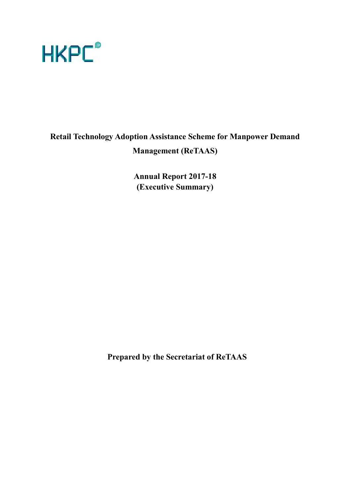

# **Retail Technology Adoption Assistance Scheme for Manpower Demand Management (ReTAAS)**

**Annual Report 2017-18 (Executive Summary)**

**Prepared by the Secretariat of ReTAAS**